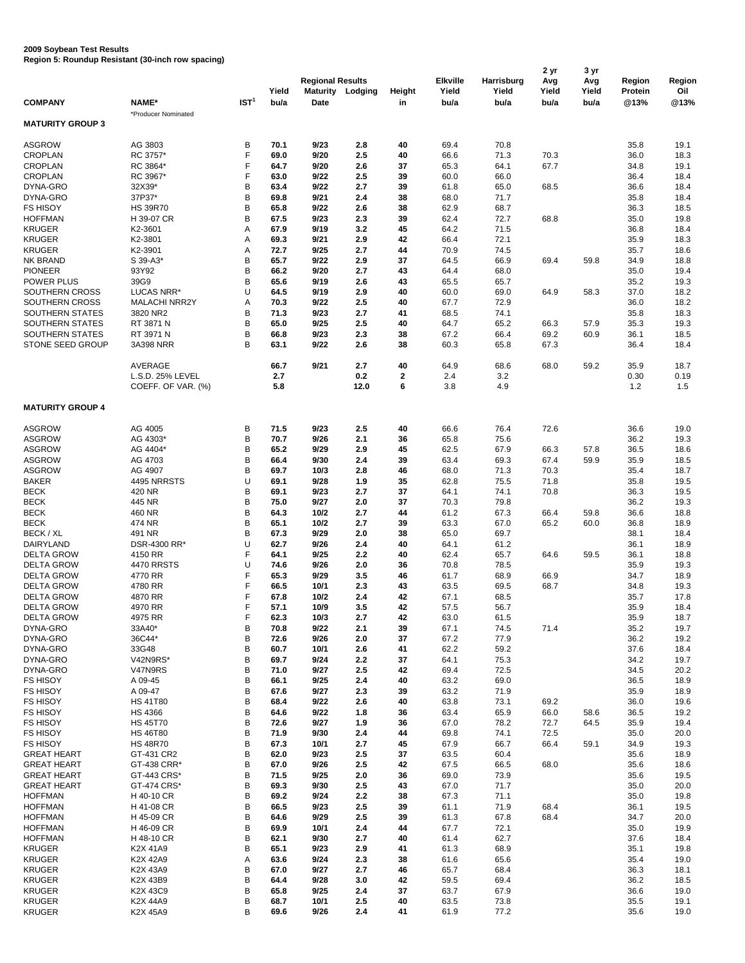## **2009 Soybean Test Results Region 5: Roundup Resistant (30-inch row spacing)**

|                         |                      |                  |       |                         |                         |                |                 |            | 2 <sub>yr</sub> | 3 yr  |                |        |
|-------------------------|----------------------|------------------|-------|-------------------------|-------------------------|----------------|-----------------|------------|-----------------|-------|----------------|--------|
|                         |                      |                  |       | <b>Regional Results</b> |                         |                | <b>Elkville</b> | Harrisburg | Avg             | Avg   | <b>Region</b>  | Region |
|                         |                      |                  | Yield |                         | <b>Maturity Lodging</b> | <b>Height</b>  | Yield           | Yield      | Yield           | Yield | <b>Protein</b> | Oil    |
| <b>COMPANY</b>          | <b>NAME*</b>         | IST <sup>1</sup> | bu/a  | <b>Date</b>             |                         | in             | bu/a            | bu/a       | bu/a            | bu/a  | @13%           | @13%   |
|                         |                      |                  |       |                         |                         |                |                 |            |                 |       |                |        |
|                         | *Producer Nominated  |                  |       |                         |                         |                |                 |            |                 |       |                |        |
| <b>MATURITY GROUP 3</b> |                      |                  |       |                         |                         |                |                 |            |                 |       |                |        |
|                         |                      |                  |       |                         |                         |                |                 |            |                 |       |                |        |
| <b>ASGROW</b>           | AG 3803              | В                | 70.1  | 9/23                    | 2.8                     | 40             | 69.4            | 70.8       |                 |       | 35.8           | 19.1   |
| <b>CROPLAN</b>          | RC 3757*             | F                | 69.0  | 9/20                    | 2.5                     | 40             | 66.6            | 71.3       | 70.3            |       | 36.0           | 18.3   |
| <b>CROPLAN</b>          | RC 3864*             | F                | 64.7  | 9/20                    | 2.6                     | 37             | 65.3            | 64.1       | 67.7            |       | 34.8           | 19.1   |
|                         |                      |                  |       |                         |                         |                |                 |            |                 |       |                |        |
| <b>CROPLAN</b>          | RC 3967*             | F                | 63.0  | 9/22                    | 2.5                     | 39             | 60.0            | 66.0       |                 |       | 36.4           | 18.4   |
| DYNA-GRO                | 32X39*               | B                | 63.4  | 9/22                    | 2.7                     | 39             | 61.8            | 65.0       | 68.5            |       | 36.6           | 18.4   |
| DYNA-GRO                | 37P37*               | B                | 69.8  | 9/21                    | 2.4                     | 38             | 68.0            | 71.7       |                 |       | 35.8           | 18.4   |
| <b>FS HISOY</b>         | <b>HS 39R70</b>      | B                | 65.8  | 9/22                    | 2.6                     | 38             | 62.9            | 68.7       |                 |       | 36.3           | 18.5   |
|                         |                      |                  |       |                         |                         |                |                 |            |                 |       |                |        |
| <b>HOFFMAN</b>          | H 39-07 CR           | В                | 67.5  | 9/23                    | 2.3                     | 39             | 62.4            | 72.7       | 68.8            |       | 35.0           | 19.8   |
| <b>KRUGER</b>           | K2-3601              | A                | 67.9  | 9/19                    | 3.2                     | 45             | 64.2            | 71.5       |                 |       | 36.8           | 18.4   |
| <b>KRUGER</b>           | K2-3801              | Α                | 69.3  | 9/21                    | 2.9                     | 42             | 66.4            | 72.1       |                 |       | 35.9           | 18.3   |
| <b>KRUGER</b>           | K2-3901              | A                | 72.7  | 9/25                    | 2.7                     | 44             | 70.9            | 74.5       |                 |       | 35.7           | 18.6   |
| <b>NK BRAND</b>         | S 39-A3*             | B                | 65.7  | 9/22                    | 2.9                     | 37             | 64.5            | 66.9       | 69.4            | 59.8  | 34.9           | 18.8   |
|                         |                      |                  |       |                         |                         |                |                 |            |                 |       |                |        |
| <b>PIONEER</b>          | 93Y92                | B                | 66.2  | 9/20                    | 2.7                     | 43             | 64.4            | 68.0       |                 |       | 35.0           | 19.4   |
| <b>POWER PLUS</b>       | 39G9                 | В                | 65.6  | 9/19                    | 2.6                     | 43             | 65.5            | 65.7       |                 |       | 35.2           | 19.3   |
| SOUTHERN CROSS          | LUCAS NRR*           | U                | 64.5  | 9/19                    | 2.9                     | 40             | 60.0            | 69.0       | 64.9            | 58.3  | 37.0           | 18.2   |
| SOUTHERN CROSS          | <b>MALACHI NRR2Y</b> | Α                | 70.3  | 9/22                    | 2.5                     | 40             | 67.7            | 72.9       |                 |       | 36.0           | 18.2   |
|                         | 3820 NR2             |                  |       |                         | 2.7                     |                |                 |            |                 |       |                |        |
| SOUTHERN STATES         |                      | B                | 71.3  | 9/23                    |                         | 41             | 68.5            | 74.1       |                 |       | 35.8           | 18.3   |
| SOUTHERN STATES         | RT 3871 N            | B                | 65.0  | 9/25                    | 2.5                     | 40             | 64.7            | 65.2       | 66.3            | 57.9  | 35.3           | 19.3   |
| <b>SOUTHERN STATES</b>  | RT 3971 N            | B                | 66.8  | 9/23                    | 2.3                     | 38             | 67.2            | 66.4       | 69.2            | 60.9  | 36.1           | 18.5   |
| STONE SEED GROUP        | <b>3A398 NRR</b>     | B                | 63.1  | 9/22                    | 2.6                     | 38             | 60.3            | 65.8       | 67.3            |       | 36.4           | 18.4   |
|                         |                      |                  |       |                         |                         |                |                 |            |                 |       |                |        |
|                         |                      |                  |       |                         |                         |                |                 |            |                 |       |                |        |
|                         | <b>AVERAGE</b>       |                  | 66.7  | 9/21                    | 2.7                     | 40             | 64.9            | 68.6       | 68.0            | 59.2  | 35.9           | 18.7   |
|                         | L.S.D. 25% LEVEL     |                  | 2.7   |                         | 0.2                     | $\mathbf{2}$   | 2.4             | 3.2        |                 |       | 0.30           | 0.19   |
|                         | COEFF. OF VAR. (%)   |                  | 5.8   |                         | 12.0                    | $6\phantom{1}$ | 3.8             | 4.9        |                 |       | 1.2            | 1.5    |
|                         |                      |                  |       |                         |                         |                |                 |            |                 |       |                |        |
|                         |                      |                  |       |                         |                         |                |                 |            |                 |       |                |        |
| <b>MATURITY GROUP 4</b> |                      |                  |       |                         |                         |                |                 |            |                 |       |                |        |
|                         |                      |                  |       |                         |                         |                |                 |            |                 |       |                |        |
| <b>ASGROW</b>           | AG 4005              | B                | 71.5  | 9/23                    | 2.5                     | 40             | 66.6            | 76.4       | 72.6            |       | 36.6           | 19.0   |
| <b>ASGROW</b>           | AG 4303*             | B                | 70.7  | 9/26                    | 2.1                     | 36             | 65.8            | 75.6       |                 |       | 36.2           | 19.3   |
| <b>ASGROW</b>           | AG 4404*             | B                | 65.2  | 9/29                    | 2.9                     | 45             | 62.5            | 67.9       | 66.3            | 57.8  | 36.5           | 18.6   |
|                         |                      |                  |       |                         |                         |                |                 |            |                 |       |                |        |
| <b>ASGROW</b>           | AG 4703              | B                | 66.4  | 9/30                    | 2.4                     | 39             | 63.4            | 69.3       | 67.4            | 59.9  | 35.9           | 18.5   |
| <b>ASGROW</b>           | AG 4907              | В                | 69.7  | 10/3                    | 2.8                     | 46             | 68.0            | 71.3       | 70.3            |       | 35.4           | 18.7   |
| <b>BAKER</b>            | 4495 NRRSTS          | U                | 69.1  | 9/28                    | 1.9                     | 35             | 62.8            | 75.5       | 71.8            |       | 35.8           | 19.5   |
| <b>BECK</b>             | 420 NR               | В                | 69.1  | 9/23                    | 2.7                     | 37             | 64.1            | 74.1       | 70.8            |       | 36.3           | 19.5   |
| <b>BECK</b>             | 445 NR               | B                | 75.0  | 9/27                    | 2.0                     | 37             | 70.3            | 79.8       |                 |       | 36.2           | 19.3   |
|                         |                      |                  |       |                         |                         |                |                 |            |                 |       |                |        |
| <b>BECK</b>             | 460 NR               | B                | 64.3  | $10/2$                  | 2.7                     | 44             | 61.2            | 67.3       | 66.4            | 59.8  | 36.6           | 18.8   |
| <b>BECK</b>             | 474 NR               | B                | 65.1  | $10/2$                  | 2.7                     | 39             | 63.3            | 67.0       | 65.2            | 60.0  | 36.8           | 18.9   |
| BECK / XL               | 491 NR               | B                | 67.3  | 9/29                    | 2.0                     | 38             | 65.0            | 69.7       |                 |       | 38.1           | 18.4   |
| <b>DAIRYLAND</b>        | DSR-4300 RR*         | U                | 62.7  | 9/26                    | 2.4                     | 40             | 64.1            | 61.2       |                 |       | 36.1           | 18.9   |
|                         |                      |                  |       |                         |                         |                |                 |            |                 |       |                |        |
| <b>DELTA GROW</b>       | 4150 RR              | F                | 64.1  | 9/25                    | 2.2                     | 40             | 62.4            | 65.7       | 64.6            | 59.5  | 36.1           | 18.8   |
| <b>DELTA GROW</b>       | <b>4470 RRSTS</b>    | U                | 74.6  | 9/26                    | 2.0                     | 36             | 70.8            | 78.5       |                 |       | 35.9           | 19.3   |
| <b>DELTA GROW</b>       | 4770 RR              |                  | 65.3  | 9/29                    | 3.5                     | 46             | 61.7            | 68.9       | 66.9            |       | 34.7           | 18.9   |
| <b>DELTA GROW</b>       | 4780 RR              |                  | 66.5  | 10/1                    | 2.3                     | 43             | 63.5            | 69.5       | 68.7            |       | 34.8           | 19.3   |
| <b>DELTA GROW</b>       | 4870 RR              | F                | 67.8  | 10/2                    | 2.4                     | 42             | 67.1            | 68.5       |                 |       | 35.7           | 17.8   |
|                         |                      |                  |       |                         |                         |                |                 |            |                 |       |                |        |
| <b>DELTA GROW</b>       | 4970 RR              | F                | 57.1  | 10/9                    | 3.5                     | 42             | 57.5            | 56.7       |                 |       | 35.9           | 18.4   |
| <b>DELTA GROW</b>       | 4975 RR              | F                | 62.3  | 10/3                    | 2.7                     | 42             | 63.0            | 61.5       |                 |       | 35.9           | 18.7   |
| DYNA-GRO                | 33A40*               | В                | 70.8  | 9/22                    | 2.1                     | 39             | 67.1            | 74.5       | 71.4            |       | 35.2           | 19.7   |
| DYNA-GRO                | 36C44*               | B                | 72.6  | 9/26                    | 2.0                     | 37             | 67.2            | 77.9       |                 |       | 36.2           | 19.2   |
|                         |                      |                  |       |                         |                         |                |                 |            |                 |       |                |        |
| DYNA-GRO                | 33G48                | B                | 60.7  | $10/1$                  | 2.6                     | 41             | 62.2            | 59.2       |                 |       | 37.6           | 18.4   |
| DYNA-GRO                | V42N9RS*             | B                | 69.7  | 9/24                    | 2.2                     | 37             | 64.1            | 75.3       |                 |       | 34.2           | 19.7   |
| DYNA-GRO                | V47N9RS              | B                | 71.0  | 9/27                    | 2.5                     | 42             | 69.4            | 72.5       |                 |       | 34.5           | 20.2   |
| <b>FS HISOY</b>         | A 09-45              | B                | 66.1  | 9/25                    | 2.4                     | 40             | 63.2            | 69.0       |                 |       | 36.5           | 18.9   |
| <b>FS HISOY</b>         | A 09-47              | B                | 67.6  | 9/27                    | 2.3                     | 39             | 63.2            | 71.9       |                 |       | 35.9           | 18.9   |
|                         |                      |                  |       |                         |                         |                |                 |            |                 |       |                |        |
| <b>FS HISOY</b>         | <b>HS 41T80</b>      | B                | 68.4  | 9/22                    | 2.6                     | 40             | 63.8            | 73.1       | 69.2            |       | 36.0           | 19.6   |
| <b>FS HISOY</b>         | <b>HS 4366</b>       | В                | 64.6  | 9/22                    | 1.8                     | 36             | 63.4            | 65.9       | 66.0            | 58.6  | 36.5           | 19.2   |
| <b>FS HISOY</b>         | <b>HS 45T70</b>      | B                | 72.6  | 9/27                    | 1.9                     | 36             | 67.0            | 78.2       | 72.7            | 64.5  | 35.9           | 19.4   |
| <b>FS HISOY</b>         | <b>HS 46T80</b>      | B                | 71.9  | 9/30                    | 2.4                     | 44             | 69.8            | 74.1       | 72.5            |       | 35.0           | 20.0   |
|                         |                      |                  |       |                         |                         |                |                 |            |                 |       |                |        |
| <b>FS HISOY</b>         | <b>HS 48R70</b>      | B                | 67.3  | 10/1                    | 2.7                     | 45             | 67.9            | 66.7       | 66.4            | 59.1  | 34.9           | 19.3   |
| <b>GREAT HEART</b>      | GT-431 CR2           | B                | 62.0  | 9/23                    | 2.5                     | 37             | 63.5            | 60.4       |                 |       | 35.6           | 18.9   |
| <b>GREAT HEART</b>      | GT-438 CRR*          | B                | 67.0  | 9/26                    | 2.5                     | 42             | 67.5            | 66.5       | 68.0            |       | 35.6           | 18.6   |
| <b>GREAT HEART</b>      | GT-443 CRS*          | В                | 71.5  | 9/25                    | 2.0                     | 36             | 69.0            | 73.9       |                 |       | 35.6           | 19.5   |
| <b>GREAT HEART</b>      | GT-474 CRS*          | B                |       |                         | 2.5                     |                |                 | 71.7       |                 |       |                |        |
|                         |                      |                  | 69.3  | 9/30                    |                         | 43             | 67.0            |            |                 |       | 35.0           | 20.0   |
| <b>HOFFMAN</b>          | H 40-10 CR           | B                | 69.2  | 9/24                    | 2.2                     | 38             | 67.3            | 71.1       |                 |       | 35.0           | 19.8   |
| <b>HOFFMAN</b>          | H 41-08 CR           | В                | 66.5  | 9/23                    | 2.5                     | 39             | 61.1            | 71.9       | 68.4            |       | 36.1           | 19.5   |
| <b>HOFFMAN</b>          | H 45-09 CR           | Β                | 64.6  | 9/29                    | 2.5                     | 39             | 61.3            | 67.8       | 68.4            |       | 34.7           | 20.0   |
| <b>HOFFMAN</b>          | H 46-09 CR           | В                | 69.9  | 10/1                    | 2.4                     | 44             | 67.7            | 72.1       |                 |       | 35.0           | 19.9   |
|                         |                      |                  |       |                         |                         |                |                 |            |                 |       |                |        |
| <b>HOFFMAN</b>          | H 48-10 CR           | В                | 62.1  | 9/30                    | 2.7                     | 40             | 61.4            | 62.7       |                 |       | 37.6           | 18.4   |
| <b>KRUGER</b>           | K2X 41A9             | В                | 65.1  | 9/23                    | 2.9                     | 41             | 61.3            | 68.9       |                 |       | 35.1           | 19.8   |
| <b>KRUGER</b>           | K2X 42A9             | Α                | 63.6  | 9/24                    | 2.3                     | 38             | 61.6            | 65.6       |                 |       | 35.4           | 19.0   |
| <b>KRUGER</b>           | K2X 43A9             | В                | 67.0  | 9/27                    | 2.7                     | 46             | 65.7            | 68.4       |                 |       | 36.3           | 18.1   |
| <b>KRUGER</b>           | K2X 43B9             |                  | 64.4  | 9/28                    | 3.0                     |                |                 |            |                 |       |                |        |
|                         |                      | В                |       |                         |                         | 42             | 59.5            | 69.4       |                 |       | 36.2           | 18.5   |
| <b>KRUGER</b>           | K2X 43C9             | B                | 65.8  | 9/25                    | 2.4                     | 37             | 63.7            | 67.9       |                 |       | 36.6           | 19.0   |
| <b>KRUGER</b>           | K2X 44A9             | B                | 68.7  | 10/1                    | 2.5                     | 40             | 63.5            | 73.8       |                 |       | 35.5           | 19.1   |
| <b>KRUGER</b>           | K2X 45A9             | B                | 69.6  | 9/26                    | 2.4                     | 41             | 61.9            | 77.2       |                 |       | 35.6           | 19.0   |